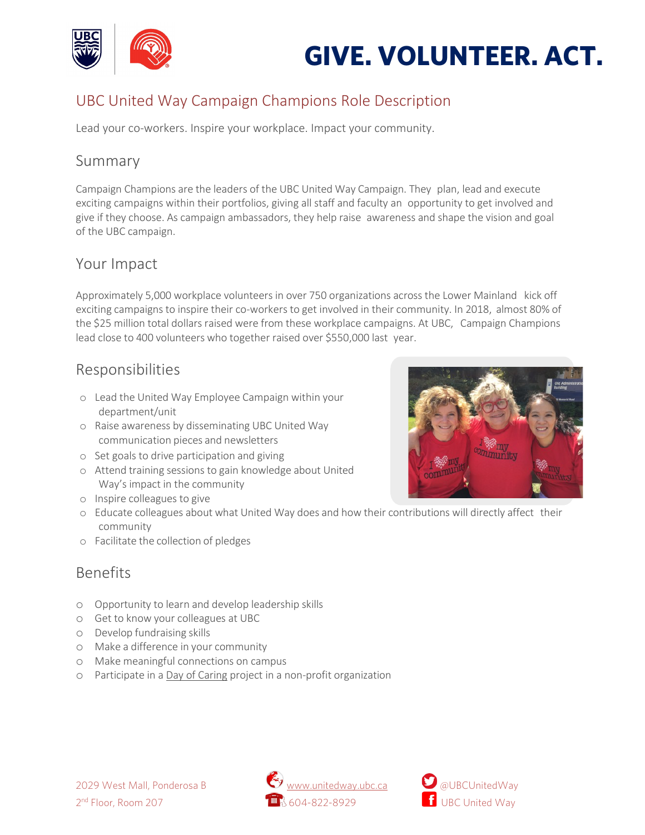

# **GIVE. VOLUNTEER. ACT.**

## UBC United Way Campaign Champions Role Description

Lead your co-workers. Inspire your workplace. Impact your community.

#### Summary

Campaign Champions are the leaders of the UBC United Way Campaign. They plan, lead and execute exciting campaigns within their portfolios, giving all staff and faculty an opportunity to get involved and give if they choose. As campaign ambassadors, they help raise awareness and shape the vision and goal of the UBC campaign.

#### Your Impact

Approximately 5,000 workplace volunteers in over 750 organizations across the Lower Mainland kick off exciting campaigns to inspire their co-workers to get involved in their community. In 2018, almost 80% of the \$25 million total dollars raised were from these workplace campaigns. At UBC, Campaign Champions lead close to 400 volunteers who together raised over \$550,000 last year.

#### Responsibilities

- o Lead the United Way Employee Campaign within your department/unit
- o Raise awareness by disseminating UBC United Way communication pieces and newsletters
- o Set goals to drive participation and giving
- o Attend training sessions to gain knowledge about United Way's impact in the community
- o Inspire colleagues to give
- o Educate colleagues about what United Way does and how their contributions will directly affect their community
- o Facilitate the collection of pledges

## Benefits

- o Opportunity to learn and develop leadership skills
- o Get to know your colleagues at UBC
- o Develop fundraising skills
- o Make a difference in your community
- o Make meaningful connections on campus
- o Participate in [a Day of](http://www.unitedway.ubc.ca/get-involved/the-vancouver-sun-united-way-day-of-caring/) Caring project in a non-profit organization





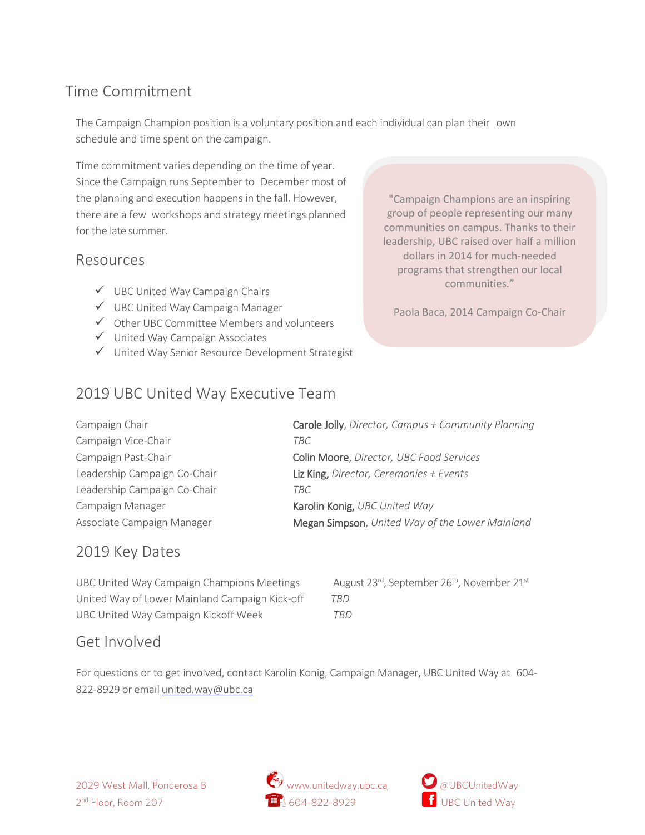## Time Commitment

The Campaign Champion position is a voluntary position and each individual can plan their own schedule and time spent on the campaign.

Time commitment varies depending on the time of year. Since the Campaign runs September to December most of the planning and execution happens in the fall. However, there are a few workshops and strategy meetings planned for the late summer.

#### Resources

- $\checkmark$  UBC United Way Campaign Chairs
- UBC United Way Campaign Manager
- Other UBC Committee Members and volunteers
- $\checkmark$  United Way Campaign Associates
- United Way Senior Resource Development Strategist

"Campaign Champions are an inspiring group of people representing our many communities on campus. Thanks to their leadership, UBC raised over half a million dollars in 2014 for much-needed programs that strengthen our local communities."

Paola Baca, 2014 Campaign Co-Chair

## <sup>2019</sup> UBC United Way Executive Team

Campaign Vice-Chair *TBC* Leadership Campaign Co-Chair *TBC* Campaign Manager **Karolin Konig**, *UBC United Way* 

Campaign Chair Carole Jolly, *Director, Campus + Community Planning* Campaign Past-Chair Colin Moore, *Director, UBC Food Services* Leadership Campaign Co-Chair Liz King, *Director, Ceremonies + Events* Associate Campaign Manager Megan Simpson, *United Way of the Lower Mainland*

## 2019 Key Dates

UBC United Way Campaign Champions Meetings  $\qquad \qquad$  August 23<sup>rd</sup>, September 26<sup>th</sup>, November 21<sup>st</sup> United Way of Lower Mainland Campaign Kick-off *TBD* UBC United Way Campaign Kickoff Week *TBD*

## Get Involved

For questions or to get involved, contact Karolin Konig, Campaign Manager, UBC United Way at 604 822-8929 or email [united.way@ubc.ca](mailto:united.way@ubc.ca)